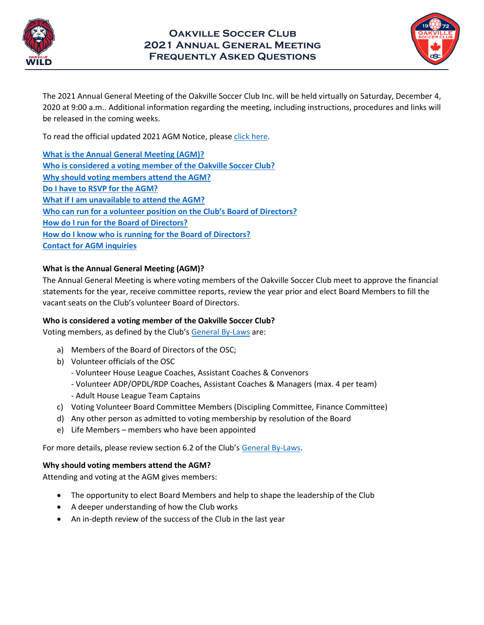



The 2021 Annual General Meeting of the Oakville Soccer Club Inc. will be held virtually on Saturday, December 4, 2020 at 9:00 a.m.. Additional information regarding the meeting, including instructions, procedures and links will be released in the coming weeks.

To read the official updated 2021 AGM Notice, please [click here.](https://www.oakvillesoccer.ca/club-info/2019-annual-general-meeting/655-2021-oakville-soccer-club-annual-general-meeting)

**[What is the Annual General Meeting \(AGM\)?](#page-0-0) [Who is considered a voting member of the Oakville Soccer Club?](#page-0-1) [Why should voting members attend the AGM?](#page-0-2) [Do I have to RSVP for the AGM?](#page-0-3) [What if I am unavailable to attend the AGM?](#page-1-0) [Who can run for a volunteer position on the Club's Board of Directors?](#page-1-1) [How do I run for the Board of Directors?](#page-1-2) [How do I know who is running for the Board of Directors?](#page-1-3) [Contact for AGM inquiries](#page-1-4)**

## <span id="page-0-0"></span>**What is the Annual General Meeting (AGM)?**

The Annual General Meeting is where voting members of the Oakville Soccer Club meet to approve the financial statements for the year, receive committee reports, review the year prior and elect Board Members to fill the vacant seats on the Club's volunteer Board of Directors.

# <span id="page-0-1"></span>**Who is considered a voting member of the Oakville Soccer Club?**

Voting members, as defined by the Club's [General By-Laws](https://www.oakvillesoccer.ca/images/publications/2016/club-info/org-policies/osc-general-by-law-1-2015.pdf) are:

- a) Members of the Board of Directors of the OSC;
- b) Volunteer officials of the OSC
	- Volunteer House League Coaches, Assistant Coaches & Convenors
	- Volunteer ADP/OPDL/RDP Coaches, Assistant Coaches & Managers (max. 4 per team)
	- Adult House League Team Captains
- c) Voting Volunteer Board Committee Members (Discipling Committee, Finance Committee)
- d) Any other person as admitted to voting membership by resolution of the Board
- e) Life Members members who have been appointed

For more details, please review section 6.2 of the Club's [General By-Laws.](https://www.oakvillesoccer.ca/images/publications/2016/club-info/org-policies/osc-general-by-law-1-2015.pdf)

#### <span id="page-0-2"></span>**Why should voting members attend the AGM?**

Attending and voting at the AGM gives members:

- The opportunity to elect Board Members and help to shape the leadership of the Club
- A deeper understanding of how the Club works
- <span id="page-0-3"></span>• An in-depth review of the success of the Club in the last year